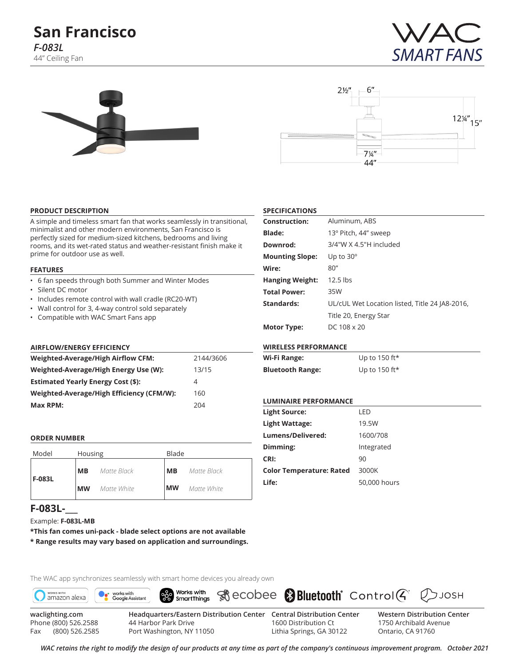# **San Francisco** *F-083L* 44" Ceiling Fan







#### **PRODUCT DESCRIPTION**

A simple and timeless smart fan that works seamlessly in transitional, minimalist and other modern environments, San Francisco is perfectly sized for medium-sized kitchens, bedrooms and living rooms, and its wet-rated status and weather-resistant finish make it prime for outdoor use as well.

#### **FEATURES**

- 6 fan speeds through both Summer and Winter Modes
- Silent DC motor
- Includes remote control with wall cradle (RC20-WT)
- Wall control for 3, 4-way control sold separately
- Compatible with WAC Smart Fans app

#### **AIRFLOW/ENERGY EFFICIENCY**

| Weighted-Average/High Airflow CFM:        | 2144/3606 |
|-------------------------------------------|-----------|
| Weighted-Average/High Energy Use (W):     | 13/15     |
| <b>Estimated Yearly Energy Cost (\$):</b> | 4         |
| Weighted-Average/High Efficiency (CFM/W): | 160       |
| Max RPM:                                  | 204       |

#### **ORDER NUMBER**

| Model  | Housing   |             | Blade     |             |  |  |
|--------|-----------|-------------|-----------|-------------|--|--|
| F-083L | MВ        | Matte Black | MВ        | Matte Black |  |  |
|        | <b>MW</b> | Matte White | <b>MW</b> | Matte White |  |  |

# **F-083L-\_\_\_**

Example: **F-083L-MB**

**\*This fan comes uni-pack - blade select options are not available \* Range results may vary based on application and surroundings.**





Fax (800) 526.2585

Port Washington, NY 11050

1600 Distribution Ct Lithia Springs, GA 30122 **Western Distribution Center**  1750 Archibald Avenue Ontario, CA 91760

 $Q$  JOSH

*WAC retains the right to modify the design of our products at any time as part of the company's continuous improvement program. October 2021*

#### **SPECIFICATIONS**

| <b>Construction:</b>   | Aluminum, ABS                                  |
|------------------------|------------------------------------------------|
| <b>Blade:</b>          | 13° Pitch, 44" sweep                           |
| Downrod:               | $3/4$ "W X 4.5"H included                      |
| <b>Mounting Slope:</b> | Up to $30^\circ$                               |
| Wire:                  | 80''                                           |
| <b>Hanging Weight:</b> | $12.5$ lbs                                     |
| <b>Total Power:</b>    | 35W                                            |
| Standards:             | UL/cUL Wet Location listed, Title 24 JA8-2016, |
|                        | Title 20, Energy Star                          |
| <b>Motor Type:</b>     | DC 108 x 20                                    |

#### **WIRELESS PERFORMANCE**

| Wi-Fi Range:            | Up to 150 ft* |
|-------------------------|---------------|
| <b>Bluetooth Range:</b> | Up to 150 ft* |

#### **LUMINAIRE PERFORMANCE**

| <b>Light Source:</b>            | I FD         |
|---------------------------------|--------------|
| Light Wattage:                  | 19.5W        |
| Lumens/Delivered:               | 1600/708     |
| Dimming:                        | Integrated   |
| CRI:                            | 90           |
| <b>Color Temperature: Rated</b> | 3000K        |
| Life:                           | 50,000 hours |